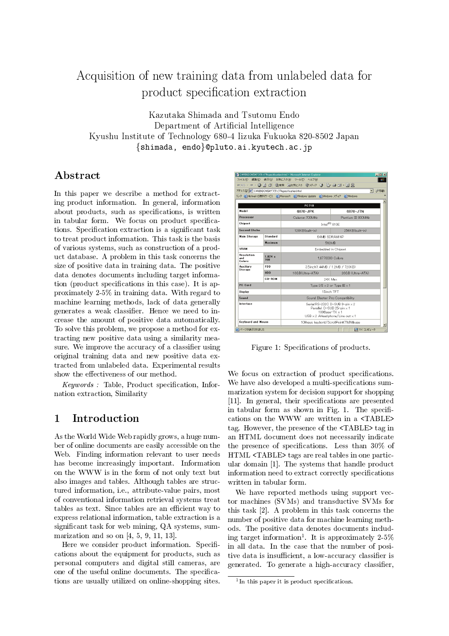# Acquisition of new training data from unlabeled data for product specification extraction

Kazutaka Shimada and Tsutomu Endo Department of Artificial Intelligence Kyushu Institute of Technology 680-4 Iizuka Fukuoka 820-8502 Japan {shimada, endo}@pluto.ai.kyutech.ac.jp

# Abstract

In this paper we describe a method for extracting product information. In general, information about products, such as specifications, is written in tabular form. We focus on product specifications. Specification extraction is a significant task to treat product information. This task is the basis of various systems, such as construction of a product database. A problem in this task concerns the size of positive data in training data. The positive data denotes documents including target information (product specifications in this case). It is approximately 2-5% in training data. With regard to machine learning methods, lack of data generally generates a weak classifier. Hence we need to increase the amount of positive data automatically. To solve this problem, we propose a method for extracting new positive data using a similarity measure. We improve the accuracy of a classifier using original training data and new positive data extracted from unlabeled data. Experimental results show the effectiveness of our method.

*Keywords:* Table, Product specification, Infornation extraction, Similarity

#### **Introduction**  $\mathbf{1}$

As the World Wide Web rapidly grows, a huge number of online documents are easily accessible on the Web. Finding information relevant to user needs has become increasingly important. Information on the WWW is in the form of not only text but also images and tables. Although tables are structured information, i.e., attribute-value pairs, most of conventional information retrieval systems treat tables as text. Since tables are an efficient way to express relational information, table extraction is a significant task for web mining, QA systems, summarization and so on  $[4, 5, 9, 11, 13]$ .

Here we consider product information. Specifications about the equipment for products, such as personal computers and digital still cameras, are one of the useful online documents. The specifications are usually utilized on online-shopping sites.

|                                    | △ C:¥WINDOWS¥テ′ス外ップ¥specification.html - Microsoft Internet Explorer<br><b>FEK</b> |                                                                                                                                           |                  |  |  |  |
|------------------------------------|------------------------------------------------------------------------------------|-------------------------------------------------------------------------------------------------------------------------------------------|------------------|--|--|--|
|                                    | ファイル(F) 編集(E) 表示(V) お気に入り(A) ツール(T) ヘルブ(H)                                         |                                                                                                                                           |                  |  |  |  |
|                                    |                                                                                    | ←R&・→・◎ 2 å ◎株 285000 ◎ガク ③ 2 刍 zi・目黒                                                                                                     |                  |  |  |  |
|                                    | アドレス(D) 2 C#WINDOWS¥デスクトッフ <sup>9</sup> ¥specification.html<br>○移動<br>▾╎           |                                                                                                                                           |                  |  |  |  |
|                                    | リンク @ Hotmail の無料サービス @ Microsoft @ Windows Update @ Windows メディア @ Windows        |                                                                                                                                           |                  |  |  |  |
|                                    |                                                                                    | PC710                                                                                                                                     |                  |  |  |  |
| Model                              |                                                                                    | 6870-JPK                                                                                                                                  | 6870-JTN         |  |  |  |
|                                    |                                                                                    |                                                                                                                                           |                  |  |  |  |
| Processor                          |                                                                                    | Celeron 700MHz<br>Pentium III 800MHz                                                                                                      |                  |  |  |  |
| Chinset                            |                                                                                    | Intel <sup>(R)</sup> 810F                                                                                                                 |                  |  |  |  |
| <b>Second Chche</b>                |                                                                                    | 128KB(huilt-in)                                                                                                                           | 256KB(huilt-in)  |  |  |  |
| <b>Standard</b><br>Main Storace    |                                                                                    | 64MB SDRAM NP                                                                                                                             |                  |  |  |  |
|                                    | Maximum                                                                            | 512MB                                                                                                                                     |                  |  |  |  |
| <b>VRAM</b>                        |                                                                                    | Embedded in Chipset                                                                                                                       |                  |  |  |  |
| <b>Resolution</b><br>and<br>Colors | 1.024 x<br>768                                                                     | 1.6770000 Colors                                                                                                                          |                  |  |  |  |
| Auxiliary<br><b>Storage</b>        | <b>FDD</b>                                                                         | 3.5inch(1.44MB / 1.2MB / 720KB)                                                                                                           |                  |  |  |  |
|                                    | <b>HDD</b>                                                                         | 10GB(Ultra-ATA)                                                                                                                           | 20GB (Ultra-ATA) |  |  |  |
|                                    | CD-ROM                                                                             | 24X Max                                                                                                                                   |                  |  |  |  |
| <b>PC Card</b>                     |                                                                                    | Type $1/II \times 2$ or Type III $\times 1$                                                                                               |                  |  |  |  |
| Display                            |                                                                                    | 15inch TFT                                                                                                                                |                  |  |  |  |
| Sound                              |                                                                                    | Sound Blaster Pro Compatibility                                                                                                           |                  |  |  |  |
| <b>Interface</b>                   |                                                                                    | Serial:RS-232C D-SUB 9-pin x 2<br>Parallel: D-SUB 25-pin x 1<br>$100$ Base-TX $\times$ 1<br>$USB \times 2$ AHeadohone/Line out $\times 1$ |                  |  |  |  |
| Keyboard and Mouse                 |                                                                                    | 109 keys keybord/ScrollPoint(TMMouse                                                                                                      |                  |  |  |  |
| ※) ページが表示されました                     |                                                                                    |                                                                                                                                           | 具マイエンピュータ        |  |  |  |

Figure 1: Specifications of products.

We focus on extraction of product specifications. We have also developed a multi-specifications summarization system for decision support for shopping [11]. In general, their specifications are presented in tabular form as shown in Fig. 1. The specifications on the WWW are written in a <TABLE> tag. However, the presence of the <TABLE> tag in an HTML document does not necessarily indicate the presence of specifications. Less than 30% of HTML <TABLE> tags are real tables in one particular domain [1]. The systems that handle product information need to extract correctly specifications written in tabular form.

We have reported methods using support vector machines (SVMs) and transductive SVMs for this task [2]. A problem in this task concerns the number of positive data for machine learning methods. The positive data denotes documents including target information<sup>1</sup>. It is approximately  $2-5\%$ in all data. In the case that the number of positive data is insufficient, a low-accuracy classifier is generated. To generate a high-accuracy classifier,

 $1$ In this paper it is product specifications.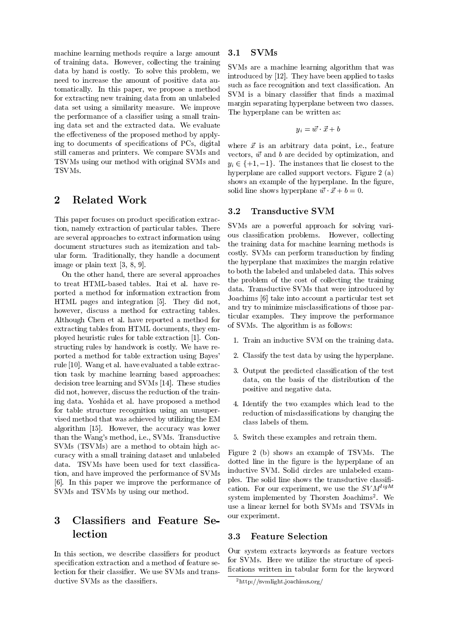machine learning methods require a large amount of training data. However, collecting the training data by hand is costly. To solve this problem, we need to increase the amount of positive data automatically. In this paper, we propose a method for extracting new training data from an unlabeled data set using a similarity measure. We improve the performance of a classifier using a small training data set and the extracted data. We evaluate the effectiveness of the proposed method by applying to documents of specifications of PCs, digital still cameras and printers. We compare SVMs and TSVMs using our method with original SVMs and TSVMs.

#### $\overline{2}$ **Related Work**

This paper focuses on product specification extraction, namely extraction of particular tables. There are several approaches to extract information using document structures such as itemization and tabular form. Traditionally, they handle a document image or plain text  $[3, 8, 9]$ .

On the other hand, there are several approaches to treat HTML-based tables. Ital et al. have reported a method for information extraction from HTML pages and integration [5]. They did not, however, discuss a method for extracting tables. Although Chen et al. have reported a method for extracting tables from HTML documents, they employed heuristic rules for table extraction [1]. Constructing rules by handwork is costly. We have reported a method for table extraction using Bayes' rule [10]. Wang et al. have evaluated a table extraction task by machine learning based approaches: decision tree learning and SVMs [14]. These studies did not, however, discuss the reduction of the training data. Yoshida et al. have proposed a method for table structure recognition using an unsupervised method that was achieved by utilizing the EM algorithm [15]. However, the accuracy was lower than the Wang's method, i.e., SVMs. Transductive SVMs (TSVMs) are a method to obtain high accuracy with a small training dataset and unlabeled data. TSVMs have been used for text classification, and have improved the performance of SVMs [6]. In this paper we improve the performance of SVMs and TSVMs by using our method.

## Classifiers and Feature Se-3 lection

In this section, we describe classifiers for product specification extraction and a method of feature selection for their classifier. We use SVMs and transductive SVMs as the classifiers.

#### $3.1$ **SVMs**

SVMs are a machine learning algorithm that was introduced by [12]. They have been applied to tasks such as face recognition and text classification. An SVM is a binary classifier that finds a maximal margin separating hyperplane between two classes. The hyperplane can be written as:

$$
y_i = \vec{w} \cdot \vec{x} + b
$$

where  $\vec{x}$  is an arbitrary data point, i.e., feature vectors,  $\vec{w}$  and b are decided by optimization, and  $y_i \in \{+1, -1\}$ . The instances that lie closest to the hyperplane are called support vectors. Figure 2 (a) shows an example of the hyperplane. In the figure, solid line shows hyperplane  $\vec{w} \cdot \vec{x} + b = 0$ .

#### **Transductive SVM** 3.2

SVMs are a powerful approach for solving various classification problems. However, collecting the training data for machine learning methods is costly. SVMs can perform transduction by finding the hyperplane that maximizes the margin relative to both the labeled and unlabeled data. This solves the problem of the cost of collecting the training data. Transductive SVMs that were introduced by Joachims [6] take into account a particular test set and try to minimize misclassifications of those particular examples. They improve the performance of SVMs. The algorithm is as follows:

- 1. Train an inductive SVM on the training data.
- 2. Classify the test data by using the hyperplane.
- 3. Output the predicted classification of the test data, on the basis of the distribution of the positive and negative data.
- 4. Identify the two examples which lead to the reduction of misclassifications by changing the class labels of them.
- 5. Switch these examples and retrain them.

Figure 2 (b) shows an example of TSVMs. The dotted line in the figure is the hyperplane of an inductive SVM. Solid circles are unlabeled examples. The solid line shows the transductive classification. For our experiment, we use the  $SVM<sup>light</sup>$ system implemented by Thorsten Joachims<sup>2</sup>. We use a linear kernel for both SVMs and TSVMs in our experiment.

#### 3.3 **Feature Selection**

Our system extracts keywords as feature vectors for SVMs. Here we utilize the structure of specifications written in tabular form for the keyword

 $^{2}$ http://svmlight.joachims.org/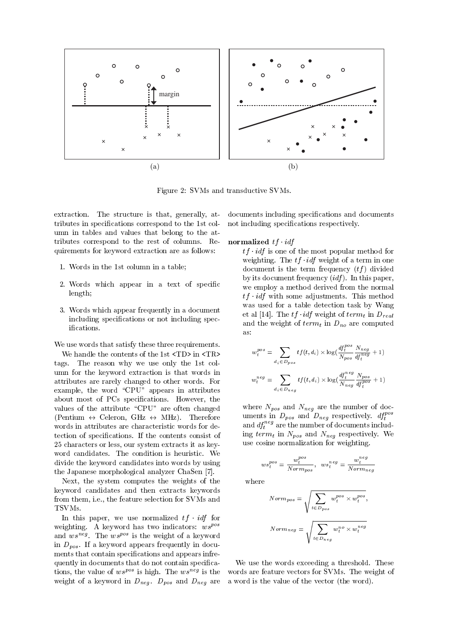

Figure 2: SVMs and transductive SVMs.

extraction. The structure is that, generally, attributes in specifications correspond to the 1st column in tables and values that belong to the attributes correspond to the rest of columns. Requirements for keyword extraction are as follows:

- 1. Words in the 1st column in a table;
- 2. Words which appear in a text of specific  $length;$
- 3. Words which appear frequently in a document including specifications or not including specifications.

We use words that satisfy these three requirements.

We handle the contents of the 1st <TD> in <TR> tags. The reason why we use only the 1st column for the keyword extraction is that words in attributes are rarely changed to other words. For example, the word "CPU" appears in attributes about most of PCs specifications. However, the values of the attribute "CPU" are often changed (Pentium  $\leftrightarrow$  Celeron, GHz  $\leftrightarrow$  MHz). Therefore words in attributes are characteristic words for detection of specifications. If the contents consist of 25 characters or less, our system extracts it as keyword candidates. The condition is heuristic. We divide the keyword candidates into words by using the Japanese morphological analyzer ChaSen [7].

Next, the system computes the weights of the keyword candidates and then extracts keywords from them, i.e., the feature selection for SVMs and TSVMs.

In this paper, we use normalized  $tf \cdot idf$  for weighting. A keyword has two indicators:  $w s^{pos}$ and  $ws^{n\bar{e}g}$ . The  $ws^{pos}$  is the weight of a keyword in  $D_{pos}$ . If a keyword appears frequently in documents that contain specifications and appears infrequently in documents that do not contain specifications, the value of  $w s^{pos}$  is high. The  $w s^{neg}$  is the weight of a keyword in  $D_{neg}$ .  $D_{pos}$  and  $D_{neg}$  are

documents including specifications and documents not including specifications respectively.

### normalized  $tf \cdot idf$

 $tf \cdot idf$  is one of the most popular method for weighting. The  $tf \cdot idf$  weight of a term in one document is the term frequency  $(tf)$  divided by its document frequency  $(idf)$ . In this paper, we employ a method derived from the normal  $tf \cdot idf$  with some adjustments. This method was used for a table detection task by Wang et al [14]. The  $tf \cdot idf$  weight of  $term_t$  in  $D_{real}$ and the weight of  $term_t$  in  $D_{no}$  are computed as:

$$
w_t^{pos} = \sum_{d_i \in D_{pos}} tf(t, d_i) \times \log(\frac{df_t^{pos}}{N_{pos}} \frac{N_{neg}}{df_t^{neg}} + 1)
$$

$$
w_t^{neg} = \sum_{d_i \in D_{neg}} tf(t, d_i) \times \log(\frac{df_t^{neg}}{N_{neg}} \frac{N_{pos}}{df_t^{pos}} + 1)
$$

where  $N_{pos}$  and  $N_{neg}$  are the number of documents in  $D_{pos}$  and  $D_{neg}$  respectively.  $df_t^{pos}$ and  $df_t^{neg}$  are the number of documents including term<sub>t</sub> in  $N_{pos}$  and  $N_{neg}$  respectively. We use cosine normalization for weighting.

$$
ws_t^{pos} = \frac{w_t^{pos}}{Norm_{pos}}, \ \ ws_t^{neg} = \frac{w_t^{neg}}{Norm_{neg}}
$$

where

$$
Norm_{pos} = \sqrt{\sum_{t \in D_{pos}} w_t^{pos} \times w_t^{pos}},
$$
  

$$
Norm_{neg} = \sqrt{\sum_{t \in D_{neg}} w_t^{no} \times w_t^{neg}}
$$

We use the words exceeding a threshold. These words are feature vectors for SVMs. The weight of a word is the value of the vector (the word).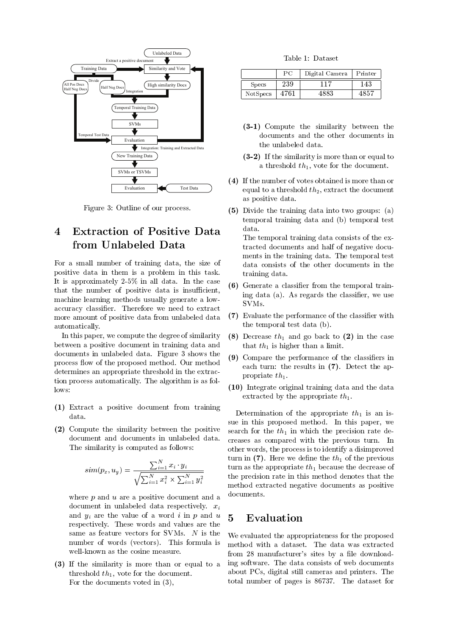

Figure 3: Outline of our process.

### **Extraction of Positive Data**  $\overline{\mathbf{4}}$ from Unlabeled Data

For a small number of training data, the size of positive data in them is a problem in this task. It is approximately  $2-5\%$  in all data. In the case that the number of positive data is insufficient, machine learning methods usually generate a lowaccuracy classifier. Therefore we need to extract more amount of positive data from unlabeled data automatically.

In this paper, we compute the degree of similarity between a positive document in training data and documents in unlabeled data. Figure 3 shows the process flow of the proposed method. Our method determines an appropriate threshold in the extraction process automatically. The algorithm is as follows:

- (1) Extract a positive document from training data.
- (2) Compute the similarity between the positive document and documents in unlabeled data. The similarity is computed as follows:

$$
sim(p_x, u_y) = \frac{\sum_{i=1}^{N} x_i \cdot y_i}{\sqrt{\sum_{i=1}^{N} x_i^2} \times \sum_{i=1}^{N} y_i^2}
$$

where  $p$  and  $u$  are a positive document and a document in unlabeled data respectively.  $x_i$ and  $y_i$  are the value of a word i in p and u respectively. These words and values are the same as feature vectors for SVMs.  $N$  is the number of words (vectors). This formula is well-known as the cosine measure.

(3) If the similarity is more than or equal to a threshold  $th_1$ , vote for the document. For the documents voted in  $(3)$ ,

Table 1: Dataset

|              | PС   | Digital Camera | Printer |
|--------------|------|----------------|---------|
| <b>Specs</b> | 239  | 117            | 143     |
| NotSpecs     | 4761 | 4883           |         |

- (3-1) Compute the similarity between the documents and the other documents in the unlabeled data.
- $(3-2)$  If the similarity is more than or equal to a threshold  $th_1$ , vote for the document.
- (4) If the number of votes obtained is more than or equal to a threshold  $th_2$ , extract the document as positive data.
- (5) Divide the training data into two groups: (a) temporal training data and (b) temporal test data.

The temporal training data consists of the extracted documents and half of negative documents in the training data. The temporal test data consists of the other documents in the training data.

- (6) Generate a classifier from the temporal training data (a). As regards the classifier, we use SVM<sub>s</sub>.
- (7) Evaluate the performance of the classifier with the temporal test data (b).
- (8) Decrease  $th_1$  and go back to (2) in the case that  $th_1$  is higher than a limit.
- (9) Compare the performance of the classifiers in each turn: the results in  $(7)$ . Detect the appropriate  $th_1$ .
- (10) Integrate original training data and the data extracted by the appropriate  $th_1$ .

Determination of the appropriate  $th_1$  is an issue in this proposed method. In this paper, we search for the  $th_1$  in which the precision rate decreases as compared with the previous turn. In other words, the process is to identify a disimproved turn in (7). Here we define the  $th_1$  of the previous turn as the appropriate  $th_1$  because the decrease of the precision rate in this method denotes that the method extracted negative documents as positive documents.

#### $\overline{5}$ Evaluation

We evaluated the appropriateness for the proposed method with a dataset. The data was extracted from 28 manufacturer's sites by a file downloading software. The data consists of web documents about PCs, digital still cameras and printers. The total number of pages is 86737. The dataset for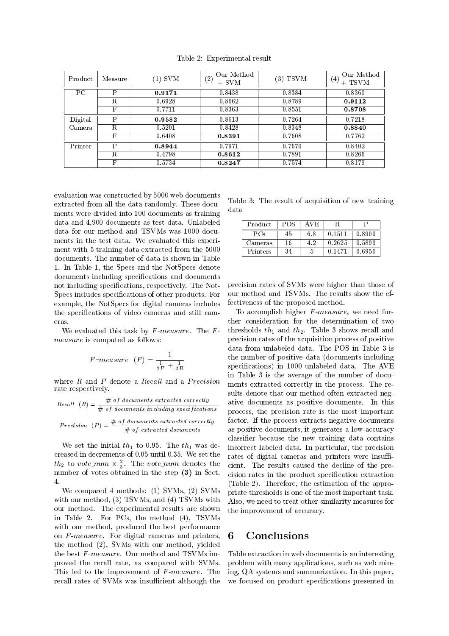| Product | Measure | (1) SVM | Our Method<br>(2)<br>$+$ SVM | $(3)$ TSVM | Our Method<br>$\left( 4\right)$<br>$+$ TSVM |
|---------|---------|---------|------------------------------|------------|---------------------------------------------|
| PC      | P       | 0.9171  | 0.8438                       | 0.8384     | 0.8360                                      |
|         | R       | 0.6928  | 0.8662                       | 0.8789     | 0.9112                                      |
|         | F       | 0.7711  | 0.8363                       | 0.8551     | 0.8708                                      |
| Digital | P       | 0.9582  | 0.8613                       | 0.7264     | 0.7218                                      |
| Camera  | R.      | 0.5201  | 0.8428                       | 0.8348     | 0.8840                                      |
|         | F       | 0.6408  | 0.8391                       | 0.7608     | 0.7762                                      |
| Printer | P       | 0.8944  | 0.7971                       | 0.7670     | 0.8402                                      |
|         | R.      | 0.4798  | 0.8612                       | 0.7891     | 0.8266                                      |
|         | F       | 0.5734  | 0.8247                       | 0.7574     | 0.8179                                      |

Table 2: Experimental result

evaluation was constructed by 5000 web documents extracted from all the data randomly. These documents were divided into 100 documents as training data and 4,900 documents as test data. Unlabeled data for our method and TSVMs was 1000 documents in the test data. We evaluated this experiment with 5 training data extracted from the 5000 documents. The number of data is shown in Table 1. In Table 1, the Specs and the NotSpecs denote documents including specifications and documents not including specifications, respectively. The Not-Specs includes specifications of other products. For example, the NotSpecs for digital cameras includes the specifications of video cameras and still cameras.

We evaluated this task by  $F$ -measure. The  $F$ *measure* is computed as follows:

$$
F-measure \t(F) = \frac{1}{\frac{1}{2P} + \frac{1}{2R}}
$$

where  $R$  and  $P$  denote a Recall and a Precision rate respectively.

Recall 
$$
(R) = \frac{\text{# of documents extracted correctly}}{\text{# of documents including specifications}}
$$
  
Precision  $(P) = \frac{\text{# of documents extracted correctly}}{\text{# of extracted documents}}$ 

We set the initial  $th_1$  to 0.95. The  $th_1$  was decreased in decrements of 0.05 until 0.35. We set the  $th_2$  to vote\_num  $\times \frac{2}{3}$ . The vote\_num denotes the number of votes obtained in the step (3) in Sect.  $\overline{4}$ .

We compared 4 methods: (1) SVMs, (2) SVMs with our method, (3) TSVMs, and (4) TSVMs with our method. The experimental results are shown in Table 2. For PCs, the method (4), TSVMs with our method, produced the best performance on F-measure. For digital cameras and printers, the method (2). SVMs with our method, vielded the best F-measure. Our method and TSVMs improved the recall rate, as compared with SVMs. This led to the improvement of F-measure. The recall rates of SVMs was insufficient although the

Table 3: The result of acquisition of new training data

| Product  | POS | AVE |        |        |
|----------|-----|-----|--------|--------|
| PCs      | 45  | 6.8 | 0.1511 | 0.8909 |
| Cameras  | 16  | 4.2 | 0.2625 | 0.5899 |
| Printers | 34  | Ð   | 0.1471 | 0.6950 |

precision rates of SVMs were higher than those of our method and TSVMs. The results show the effectiveness of the proposed method.

To accomplish higher F-measure, we need further consideration for the determination of two thresholds  $th_1$  and  $th_2$ . Table 3 shows recall and precision rates of the acquisition process of positive data from unlabeled data. The POS in Table 3 is the number of positive data (documents including specifications) in 1000 unlabeled data. The AVE in Table 3 is the average of the number of documents extracted correctly in the process. The results denote that our method often extracted negative documents as positive documents. In this process, the precision rate is the most important factor. If the process extracts negative documents as positive documents, it generates a low-accuracy classifier because the new training data contains incorrect labeled data. In particular, the precision rates of digital cameras and printers were insufficient. The results caused the decline of the precision rates in the product specification extraction (Table 2). Therefore, the estimation of the appropriate thresholds is one of the most important task. Also, we need to treat other similarity measures for the improvement of accuracy.

#### Conclusions 6

Table extraction in web documents is an interesting problem with many applications, such as web mining, QA systems and summarization. In this paper, we focused on product specifications presented in